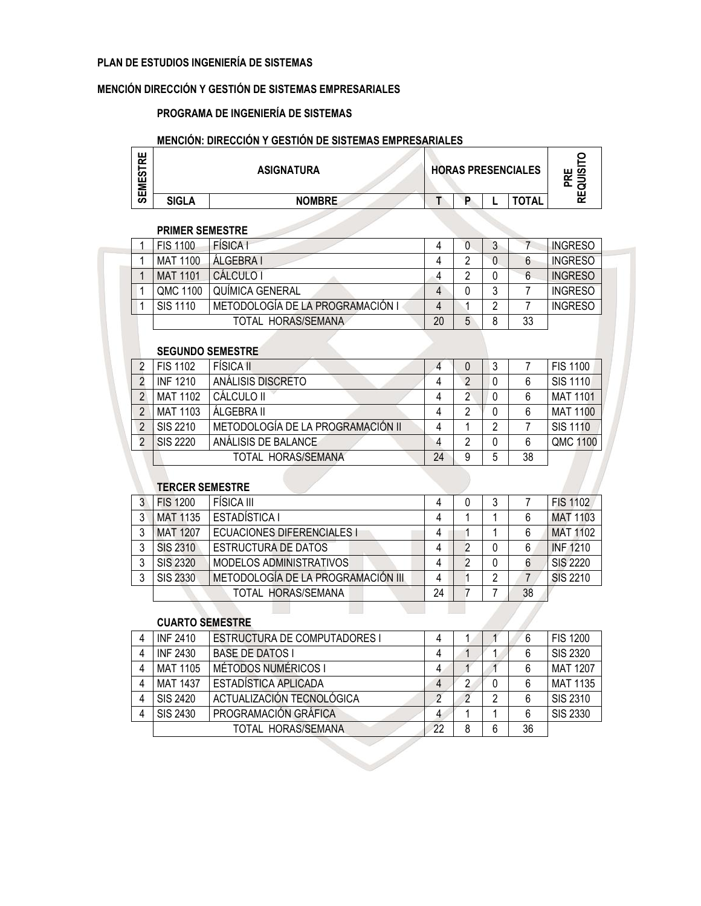#### PLAN DE ESTUDIOS INGENIERÍA DE SISTEMAS

#### MENCIÓN DIRECCIÓN Y GESTIÓN DE SISTEMAS EMPRESARIALES

#### PROGRAMA DE INGENIERÍA DE SISTEMAS

### MENCIÓN: DIRECCIÓN Y GESTIÓN DE SISTEMAS EMPRESARIALES

| ш<br>œ<br>ທ<br>ш<br>Ξ |              | <b>ASIGNATURA</b> | <b>HORAS PRESENCIALES</b> |   |              | ய ம<br>≃ |
|-----------------------|--------------|-------------------|---------------------------|---|--------------|----------|
| ш<br>ၯ                | <b>SIGLA</b> | <b>NOMBRE</b>     | D                         | - | <b>TOTAL</b> |          |

#### PRIMER SEMESTRE

| <b>FIS 1100</b> | <b>FÍSICA I</b>                  | 4  |   |   |    | <b>INGRESO</b> |  |  |
|-----------------|----------------------------------|----|---|---|----|----------------|--|--|
| MAT 1100        | ÁLGEBRA I                        | 4  |   |   | 6  | <b>INGRESO</b> |  |  |
| <b>MAT 1101</b> | CÁLCULO I                        | 4  |   |   | 6  | <b>INGRESO</b> |  |  |
| QMC 1100        | QUÍMICA GENERAL                  | 4  |   | 3 |    | <b>INGRESO</b> |  |  |
| <b>SIS 1110</b> | METODOLOGÍA DE LA PROGRAMACIÓN I | 4  |   | ∩ |    | <b>INGRESO</b> |  |  |
|                 | TOTAL HORAS/SEMANA               | 20 | 5 | 8 | 33 |                |  |  |
|                 |                                  |    |   |   |    |                |  |  |
|                 | <b>SEGUNDO SEMESTRE</b>          |    |   |   |    |                |  |  |

| <b>FIS 1102</b> | <b>FÍSICA II</b>                  |    | O |   |    | <b>FIS 1100</b> |
|-----------------|-----------------------------------|----|---|---|----|-----------------|
| <b>INF 1210</b> | ANÁLISIS DISCRETO                 | 4  |   |   |    | SIS 1110        |
| <b>MAT 1102</b> | CÁLCULO II                        |    |   |   |    | <b>MAT 1101</b> |
| MAT 1103        | ÁLGEBRA II                        | 4  | າ |   |    | <b>MAT 1100</b> |
| SIS 2210        | METODOLOGÍA DE LA PROGRAMACIÓN II | 4  |   | റ |    | <b>SIS 1110</b> |
| <b>SIS 2220</b> | ANÁLISIS DE BALANCE               |    | າ |   |    | QMC 1100        |
|                 | TOTAL HORAS/SEMANA                | 24 |   | 5 | 38 |                 |

#### TERCER SEMESTRE

| 3 | <b>FIS 1200</b>        | FÍSICA III                         | 4  | 0 | 3 |    | <b>FIS 1102</b> |
|---|------------------------|------------------------------------|----|---|---|----|-----------------|
| 3 | <b>MAT 1135</b>        | ESTADÍSTICA I                      | 4  |   |   | 6  | <b>MAT 1103</b> |
| 3 | <b>MAT 1207</b>        | <b>ECUACIONES DIFERENCIALES I</b>  | 4  |   |   | 6  | <b>MAT 1102</b> |
| 3 | <b>SIS 2310</b>        | <b>ESTRUCTURA DE DATOS</b>         | 4  | 2 | 0 | 6  | <b>INF 1210</b> |
| 3 | <b>SIS 2320</b>        | MODELOS ADMINISTRATIVOS            | 4  | 2 | 0 | 6  | <b>SIS 2220</b> |
| 3 | SIS 2330               | METODOLOGÍA DE LA PROGRAMACIÓN III | 4  |   | 2 | 7  | <b>SIS 2210</b> |
|   |                        | TOTAL HORAS/SEMANA                 | 24 |   |   | 38 |                 |
|   |                        |                                    |    |   |   |    |                 |
|   | <b>CUARTO SEMESTRE</b> |                                    |    |   |   |    |                 |

#### CUARTO SEMESTRE

| 4 | <b>INF 2410</b> | <b>ESTRUCTURA DE COMPUTADORES I</b> |    |   |   |    | <b>FIS 1200</b> |
|---|-----------------|-------------------------------------|----|---|---|----|-----------------|
| 4 | <b>INF 2430</b> | <b>BASE DE DATOS I</b>              |    |   |   |    | <b>SIS 2320</b> |
| 4 | <b>MAT 1105</b> | MÉTODOS NUMÉRICOS I                 |    |   |   |    | <b>MAT 1207</b> |
| 4 | <b>MAT 1437</b> | ESTADÍSTICA APLICADA                |    |   | 0 |    | <b>MAT 1135</b> |
| 4 | SIS 2420        | ACTUALIZACIÓN TECNOLÓGICA           |    |   |   |    | SIS 2310        |
| 4 | SIS 2430        | PROGRAMACIÓN GRÁFICA                | 4  |   |   |    | <b>SIS 2330</b> |
|   |                 | TOTAL HORAS/SEMANA                  | 22 | 8 | 6 | 36 |                 |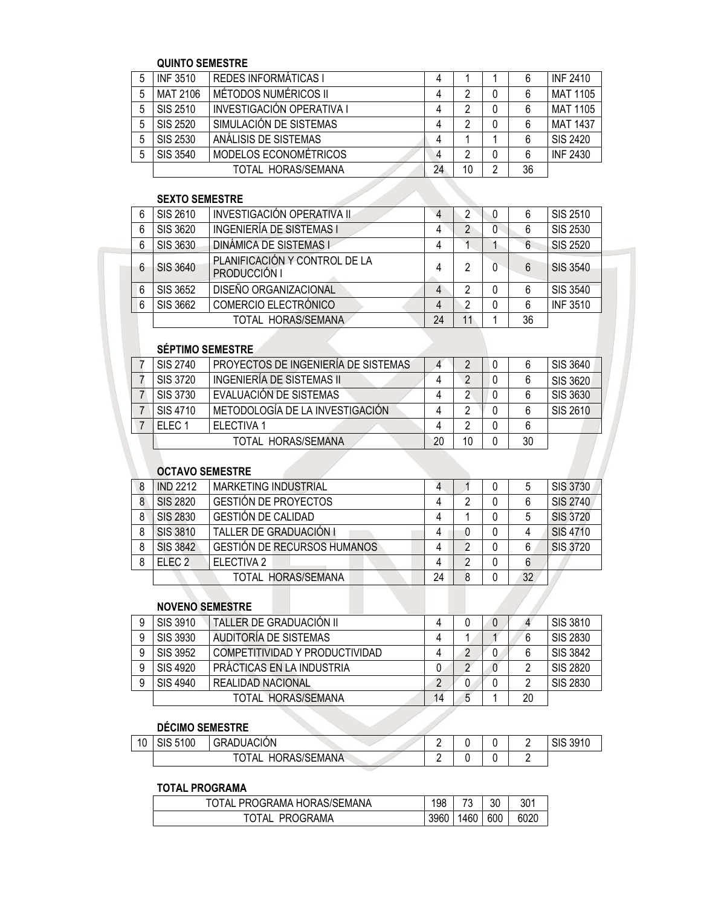#### QUINTO SEMESTRE

|   | <b>INF 3510</b> | <b>REDES INFORMÁTICAS I</b> | 4  |    |   |    | <b>INF 2410</b> |
|---|-----------------|-----------------------------|----|----|---|----|-----------------|
|   | MAT 2106        | MÉTODOS NUMÉRICOS II        |    | າ  |   | 6  | MAT 1105        |
|   | SIS 2510        | INVESTIGACIÓN OPERATIVA I   |    | າ  | 0 |    | <b>MAT 1105</b> |
| 5 | SIS 2520        | SIMULACIÓN DE SISTEMAS      |    | າ  | 0 | 6  | <b>MAT 1437</b> |
|   | <b>SIS 2530</b> | ANÁLISIS DE SISTEMAS        |    |    |   | 6  | SIS 2420        |
| 5 | SIS 3540        | MODELOS ECONOMÉTRICOS       |    | າ  | 0 | 6  | <b>INF 2430</b> |
|   |                 | TOTAL HORAS/SEMANA          | 24 | 10 | 2 | 36 |                 |

## SEXTO SEMESTRE

| 6 | SIS 2610        | INVESTIGACIÓN OPERATIVA II                    | 4  |    | 0 | 6  | SIS 2510        |
|---|-----------------|-----------------------------------------------|----|----|---|----|-----------------|
| 6 | SIS 3620        | <b>INGENIERÍA DE SISTEMAS I</b>               |    |    | 0 | 6  | <b>SIS 2530</b> |
| 6 | <b>SIS 3630</b> | <b>DINÁMICA DE SISTEMAS I</b>                 |    |    |   | 6  | <b>SIS 2520</b> |
| 6 | <b>SIS 3640</b> | PLANIFICACIÓN Y CONTROL DE LA<br>PRODUCCIÓN I |    |    |   | 6  | <b>SIS 3540</b> |
| 6 | SIS 3652        | DISEÑO ORGANIZACIONAL                         |    |    |   | 6  | <b>SIS 3540</b> |
| 6 | SIS 3662        | COMERCIO ELECTRÓNICO                          |    |    |   | 6  | <b>INF 3510</b> |
|   |                 | TOTAL HORAS/SEMANA                            | 24 | 11 |   | 36 |                 |
|   |                 |                                               |    |    |   |    |                 |

# SÉPTIMO SEMESTRE

| SIS 2740  | PROYECTOS DE INGENIERÍA DE SISTEMAS |    |    |    | SIS 3640        |
|-----------|-------------------------------------|----|----|----|-----------------|
| SIS 3720  | INGENIERÍA DE SISTEMAS II           |    |    |    | SIS 3620        |
| SIS 3730  | EVALUACIÓN DE SISTEMAS              |    |    |    | <b>SIS 3630</b> |
| SIS 4710  | METODOLOGÍA DE LA INVESTIGACIÓN     |    |    |    | SIS 2610        |
| $FI$ FC 1 | <b>FLECTIVA 1</b>                   |    |    |    |                 |
|           | TOTAL HORAS/SEMANA                  | 20 | 10 | 30 |                 |
|           |                                     |    |    |    |                 |

#### OCTAVO SEMESTRE

| -8             | <b>IND 2212</b>   | <b>MARKETING INDUSTRIAL</b>        | 4  |   | 0 | 5  | <b>SIS 3730</b> |
|----------------|-------------------|------------------------------------|----|---|---|----|-----------------|
| 8 <sup>°</sup> | <b>SIS 2820</b>   | <b>GESTIÓN DE PROYECTOS</b>        | 4  | 2 | 0 | 6  | <b>SIS 2740</b> |
| 8              | <b>SIS 2830</b>   | <b>GESTIÓN DE CALIDAD</b>          | 4  |   | 0 | 5  | <b>SIS 3720</b> |
| 8              | <b>SIS 3810</b>   | TALLER DE GRADUACIÓN I             | 4  | 0 | 0 |    | <b>SIS 4710</b> |
| 8              | <b>SIS 3842</b>   | <b>GESTIÓN DE RECURSOS HUMANOS</b> | 4  |   | 0 | 6  | <b>SIS 3720</b> |
| 8              | ELEC <sub>2</sub> | ELECTIVA 2                         | 4  |   | 0 | 6  |                 |
|                |                   | TOTAL HORAS/SEMANA                 | 24 | 8 | 0 | 32 |                 |
|                |                   |                                    |    |   |   |    |                 |
|                | NOVENO SEMESTRE   |                                    |    |   |   |    |                 |

# NOVENO SEMESTRE

| SIS 3910 | TALLER DE GRADUACIÓN II        |    |   |    | SIS 3810        |
|----------|--------------------------------|----|---|----|-----------------|
| SIS 3930 | AUDITORIA DE SISTEMAS          |    |   |    | <b>SIS 2830</b> |
| SIS 3952 | COMPETITIVIDAD Y PRODUCTIVIDAD |    |   |    | <b>SIS 3842</b> |
| SIS 4920 | PRÁCTICAS EN LA INDUSTRIA      |    |   |    | <b>SIS 2820</b> |
| SIS 4940 | <b>REALIDAD NACIONAL</b>       | റ  |   |    | SIS 2830        |
|          | TOTAL HORAS/SEMANA             | 14 | 5 | 20 |                 |

# DÉCIMO SEMESTRE

| 10 | 5100<br>ാഥ | <b>GRADUACIÓN</b>            |  |  | 3910<br>$\sim$<br>১৷১<br>1 U<br>ີບປ |
|----|------------|------------------------------|--|--|-------------------------------------|
|    |            | <b>HORAS/SEMANA</b><br>ਾA∟ . |  |  |                                     |

### TOTAL PROGRAMA

| TOTAL PROGRAMA HORAS/SEMANA | 198    | $\overline{\phantom{a}}$ | 30 | 301  |
|-----------------------------|--------|--------------------------|----|------|
| TOTAL PROGRAMA              | 3960 l | 1460 600                 |    | 6020 |